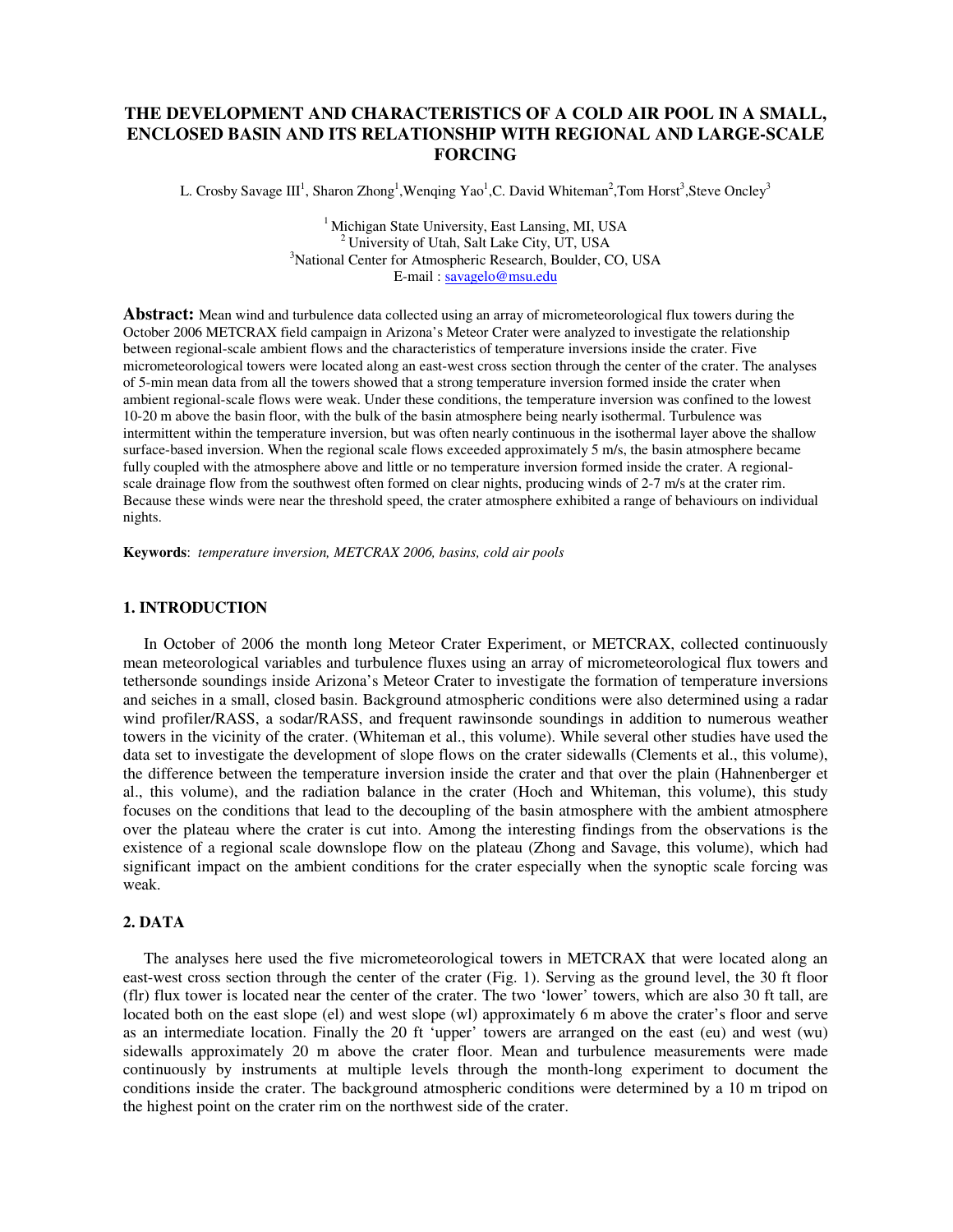# **THE DEVELOPMENT AND CHARACTERISTICS OF A COLD AIR POOL IN A SMALL, ENCLOSED BASIN AND ITS RELATIONSHIP WITH REGIONAL AND LARGE-SCALE FORCING**

L. Crosby Savage  $III<sup>1</sup>$ , Sharon Zhong<sup>1</sup>, Wenqing Yao<sup>1</sup>, C. David Whiteman<sup>2</sup>, Tom Horst<sup>3</sup>, Steve Oncley<sup>3</sup>

 $<sup>1</sup>$  Michigan State University, East Lansing, MI, USA</sup>  $^{2}$  University of Utah, Salt Lake City, UT, USA <sup>3</sup>National Center for Atmospheric Research, Boulder, CO, USA E-mail : savagelo@msu.edu

**Abstract:** Mean wind and turbulence data collected using an array of micrometeorological flux towers during the October 2006 METCRAX field campaign in Arizona's Meteor Crater were analyzed to investigate the relationship between regional-scale ambient flows and the characteristics of temperature inversions inside the crater. Five micrometeorological towers were located along an east-west cross section through the center of the crater. The analyses of 5-min mean data from all the towers showed that a strong temperature inversion formed inside the crater when ambient regional-scale flows were weak. Under these conditions, the temperature inversion was confined to the lowest 10-20 m above the basin floor, with the bulk of the basin atmosphere being nearly isothermal. Turbulence was intermittent within the temperature inversion, but was often nearly continuous in the isothermal layer above the shallow surface-based inversion. When the regional scale flows exceeded approximately 5 m/s, the basin atmosphere became fully coupled with the atmosphere above and little or no temperature inversion formed inside the crater. A regionalscale drainage flow from the southwest often formed on clear nights, producing winds of 2-7 m/s at the crater rim. Because these winds were near the threshold speed, the crater atmosphere exhibited a range of behaviours on individual nights.

**Keywords**: *temperature inversion, METCRAX 2006, basins, cold air pools* 

#### **1. INTRODUCTION**

In October of 2006 the month long Meteor Crater Experiment, or METCRAX, collected continuously mean meteorological variables and turbulence fluxes using an array of micrometeorological flux towers and tethersonde soundings inside Arizona's Meteor Crater to investigate the formation of temperature inversions and seiches in a small, closed basin. Background atmospheric conditions were also determined using a radar wind profiler/RASS, a sodar/RASS, and frequent rawinsonde soundings in addition to numerous weather towers in the vicinity of the crater. (Whiteman et al., this volume). While several other studies have used the data set to investigate the development of slope flows on the crater sidewalls (Clements et al., this volume), the difference between the temperature inversion inside the crater and that over the plain (Hahnenberger et al., this volume), and the radiation balance in the crater (Hoch and Whiteman, this volume), this study focuses on the conditions that lead to the decoupling of the basin atmosphere with the ambient atmosphere over the plateau where the crater is cut into. Among the interesting findings from the observations is the existence of a regional scale downslope flow on the plateau (Zhong and Savage, this volume), which had significant impact on the ambient conditions for the crater especially when the synoptic scale forcing was weak.

# **2. DATA**

The analyses here used the five micrometeorological towers in METCRAX that were located along an east-west cross section through the center of the crater (Fig. 1). Serving as the ground level, the 30 ft floor (flr) flux tower is located near the center of the crater. The two 'lower' towers, which are also 30 ft tall, are located both on the east slope (el) and west slope (wl) approximately 6 m above the crater's floor and serve as an intermediate location. Finally the 20 ft 'upper' towers are arranged on the east (eu) and west (wu) sidewalls approximately 20 m above the crater floor. Mean and turbulence measurements were made continuously by instruments at multiple levels through the month-long experiment to document the conditions inside the crater. The background atmospheric conditions were determined by a 10 m tripod on the highest point on the crater rim on the northwest side of the crater.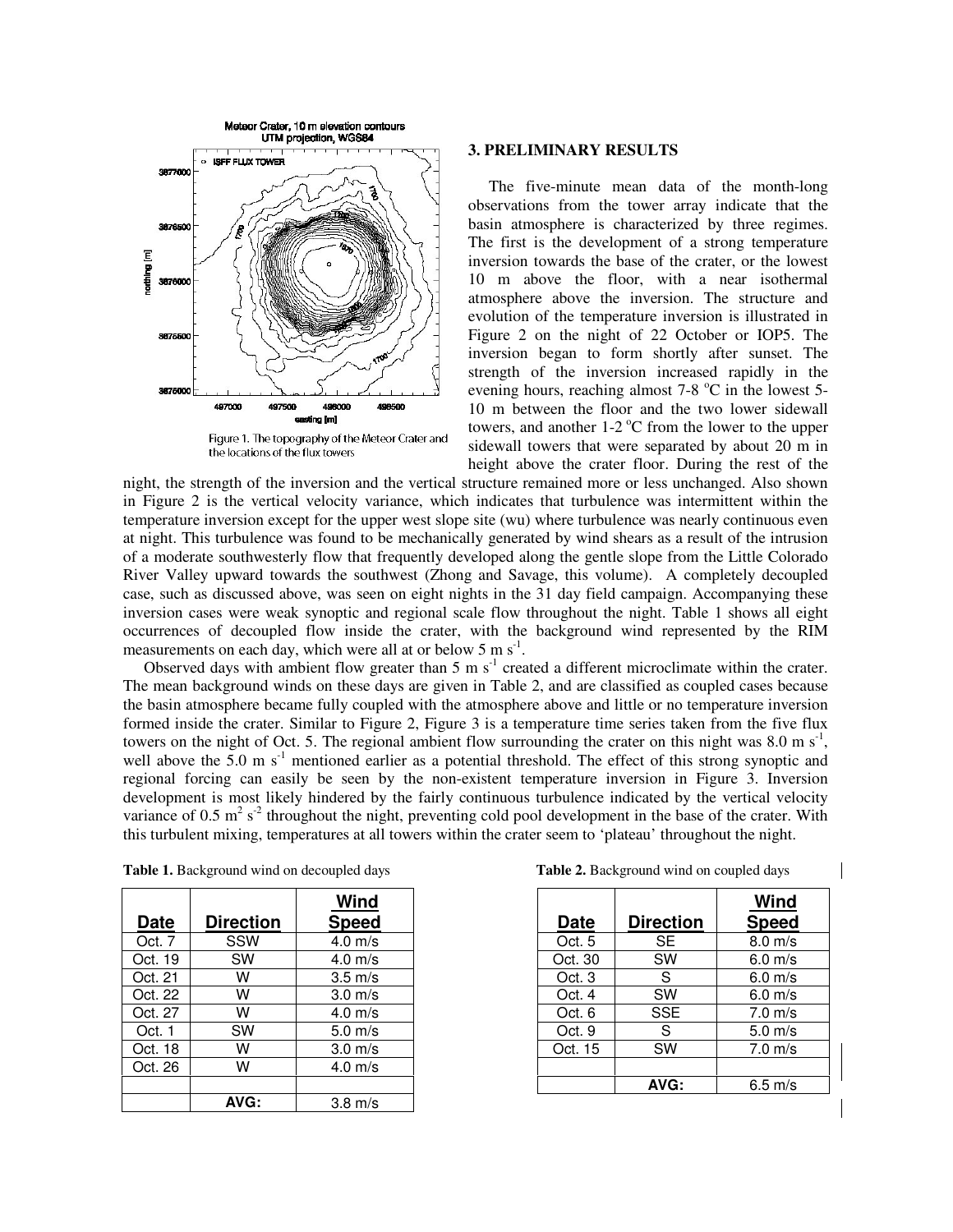

Figure 1. The topography of the Meteor Crater and the locations of the flux towers

### **3. PRELIMINARY RESULTS**

The five-minute mean data of the month-long observations from the tower array indicate that the basin atmosphere is characterized by three regimes. The first is the development of a strong temperature inversion towards the base of the crater, or the lowest 10 m above the floor, with a near isothermal atmosphere above the inversion. The structure and evolution of the temperature inversion is illustrated in Figure 2 on the night of 22 October or IOP5. The inversion began to form shortly after sunset. The strength of the inversion increased rapidly in the evening hours, reaching almost  $7-8$  °C in the lowest 5-10 m between the floor and the two lower sidewall towers, and another  $1\n-2$  °C from the lower to the upper sidewall towers that were separated by about 20 m in height above the crater floor. During the rest of the

night, the strength of the inversion and the vertical structure remained more or less unchanged. Also shown in Figure 2 is the vertical velocity variance, which indicates that turbulence was intermittent within the temperature inversion except for the upper west slope site (wu) where turbulence was nearly continuous even at night. This turbulence was found to be mechanically generated by wind shears as a result of the intrusion of a moderate southwesterly flow that frequently developed along the gentle slope from the Little Colorado River Valley upward towards the southwest (Zhong and Savage, this volume). A completely decoupled case, such as discussed above, was seen on eight nights in the 31 day field campaign. Accompanying these inversion cases were weak synoptic and regional scale flow throughout the night. Table 1 shows all eight occurrences of decoupled flow inside the crater, with the background wind represented by the RIM measurements on each day, which were all at or below  $5 \text{ m s}^{-1}$ .

Observed days with ambient flow greater than 5 m  $s<sup>-1</sup>$  created a different microclimate within the crater. The mean background winds on these days are given in Table 2, and are classified as coupled cases because the basin atmosphere became fully coupled with the atmosphere above and little or no temperature inversion formed inside the crater. Similar to Figure 2, Figure 3 is a temperature time series taken from the five flux towers on the night of Oct. 5. The regional ambient flow surrounding the crater on this night was 8.0 m  $s^{-1}$ , well above the 5.0 m s<sup>-1</sup> mentioned earlier as a potential threshold. The effect of this strong synoptic and regional forcing can easily be seen by the non-existent temperature inversion in Figure 3. Inversion development is most likely hindered by the fairly continuous turbulence indicated by the vertical velocity variance of 0.5  $m^2 s^2$  throughout the night, preventing cold pool development in the base of the crater. With this turbulent mixing, temperatures at all towers within the crater seem to 'plateau' throughout the night.

| Date    | <b>Direction</b> | Wind<br><b>Speed</b> |
|---------|------------------|----------------------|
| Oct. 7  | SSW              | $4.0$ m/s            |
| Oct. 19 | <b>SW</b>        | $4.0$ m/s            |
| Oct. 21 | W                | $3.5 \text{ m/s}$    |
| Oct. 22 | w                | $3.0 \text{ m/s}$    |
| Oct. 27 | w                | $4.0$ m/s            |
| Oct. 1  | <b>SW</b>        | $5.0$ m/s            |
| Oct. 18 | w                | $3.0 \text{ m/s}$    |
| Oct. 26 | w                | $4.0$ m/s            |
|         |                  |                      |
|         | AVG:             | $3.8 \text{ m/s}$    |

**Table 1.** Background wind on decoupled days **Table 2.** Background wind on coupled days

| <b>Date</b> | <b>Direction</b> | Wind<br><b>Speed</b> |
|-------------|------------------|----------------------|
| Oct. 5      | <b>SE</b>        | $8.0 \text{ m/s}$    |
| Oct. 30     | <b>SW</b>        | $6.0$ m/s            |
| Oct. 3      | S.               | $6.0$ m/s            |
| Oct. 4      | SW               | $6.0 \text{ m/s}$    |
| Oct. 6      | <b>SSE</b>       | $7.0 \text{ m/s}$    |
| Oct. 9      | S                | $5.0 \text{ m/s}$    |
| Oct. 15     | SW               | $7.0 \text{ m/s}$    |
|             |                  |                      |
|             | AVG:             | $6.5$ m/s            |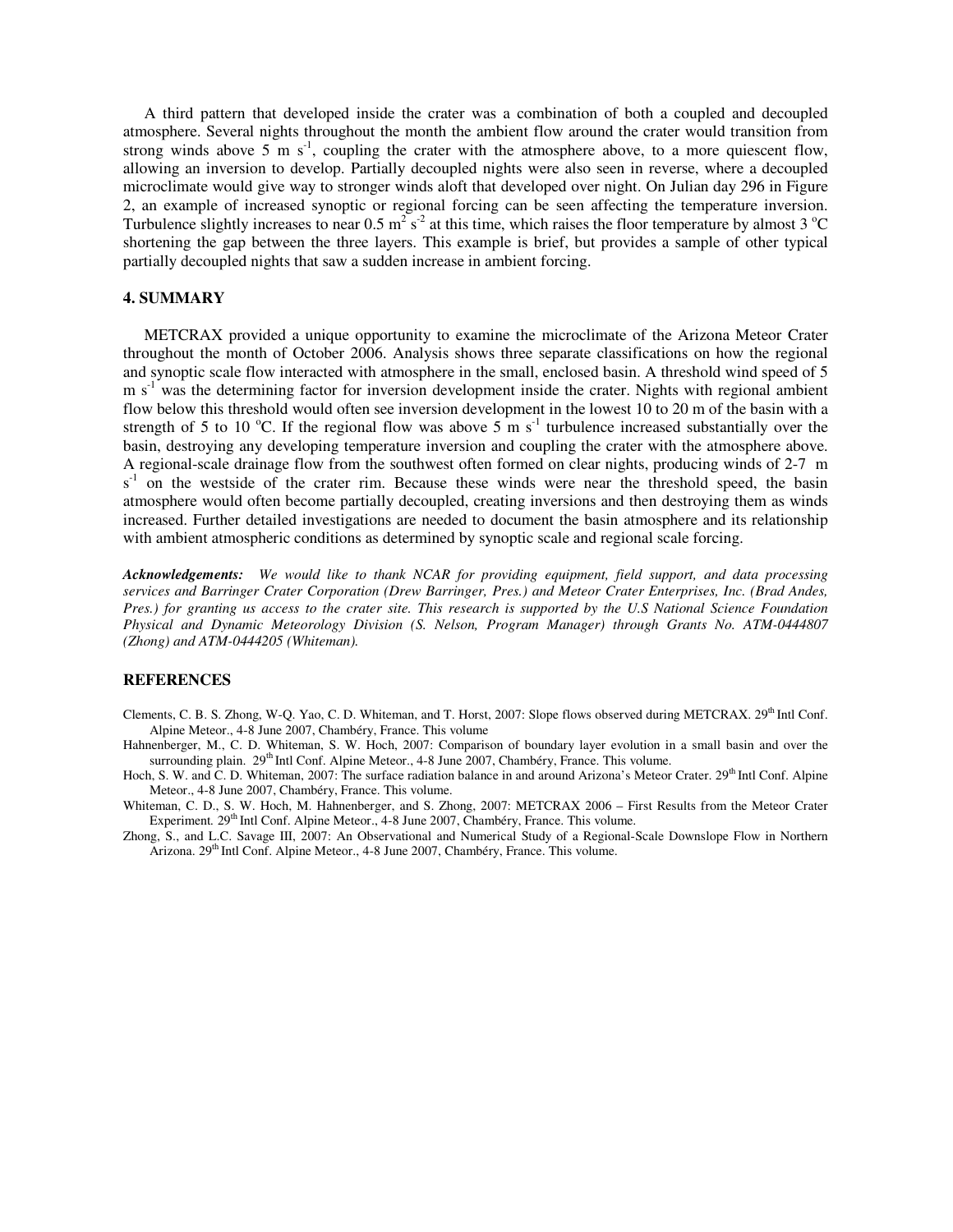A third pattern that developed inside the crater was a combination of both a coupled and decoupled atmosphere. Several nights throughout the month the ambient flow around the crater would transition from strong winds above 5 m  $s^{-1}$ , coupling the crater with the atmosphere above, to a more quiescent flow, allowing an inversion to develop. Partially decoupled nights were also seen in reverse, where a decoupled microclimate would give way to stronger winds aloft that developed over night. On Julian day 296 in Figure 2, an example of increased synoptic or regional forcing can be seen affecting the temperature inversion. Turbulence slightly increases to near  $0.5 \text{ m}^2 \text{ s}^2$  at this time, which raises the floor temperature by almost 3 °C shortening the gap between the three layers. This example is brief, but provides a sample of other typical partially decoupled nights that saw a sudden increase in ambient forcing.

## **4. SUMMARY**

METCRAX provided a unique opportunity to examine the microclimate of the Arizona Meteor Crater throughout the month of October 2006. Analysis shows three separate classifications on how the regional and synoptic scale flow interacted with atmosphere in the small, enclosed basin. A threshold wind speed of 5 m s<sup>-1</sup> was the determining factor for inversion development inside the crater. Nights with regional ambient flow below this threshold would often see inversion development in the lowest 10 to 20 m of the basin with a strength of 5 to 10 °C. If the regional flow was above 5 m  $s^{-1}$  turbulence increased substantially over the basin, destroying any developing temperature inversion and coupling the crater with the atmosphere above. A regional-scale drainage flow from the southwest often formed on clear nights, producing winds of 2-7 m  $s<sup>-1</sup>$  on the westside of the crater rim. Because these winds were near the threshold speed, the basin atmosphere would often become partially decoupled, creating inversions and then destroying them as winds increased. Further detailed investigations are needed to document the basin atmosphere and its relationship with ambient atmospheric conditions as determined by synoptic scale and regional scale forcing.

*Acknowledgements: We would like to thank NCAR for providing equipment, field support, and data processing services and Barringer Crater Corporation (Drew Barringer, Pres.) and Meteor Crater Enterprises, Inc. (Brad Andes, Pres.) for granting us access to the crater site. This research is supported by the U.S National Science Foundation Physical and Dynamic Meteorology Division (S. Nelson, Program Manager) through Grants No. ATM-0444807 (Zhong) and ATM-0444205 (Whiteman).* 

#### **REFERENCES**

- Clements, C. B. S. Zhong, W-O. Yao, C. D. Whiteman, and T. Horst, 2007: Slope flows observed during METCRAX. 29<sup>th</sup> Intl Conf. Alpine Meteor., 4-8 June 2007, Chambéry, France. This volume
- Hahnenberger, M., C. D. Whiteman, S. W. Hoch, 2007: Comparison of boundary layer evolution in a small basin and over the surrounding plain. 29<sup>th</sup> Intl Conf. Alpine Meteor., 4-8 June 2007, Chambéry, France. This volume.
- Hoch, S. W. and C. D. Whiteman, 2007: The surface radiation balance in and around Arizona's Meteor Crater. 29<sup>th</sup> Intl Conf. Alpine Meteor., 4-8 June 2007, Chambéry, France. This volume.
- Whiteman, C. D., S. W. Hoch, M. Hahnenberger, and S. Zhong, 2007: METCRAX 2006 First Results from the Meteor Crater Experiment. 29<sup>th</sup> Intl Conf. Alpine Meteor., 4-8 June 2007, Chambéry, France. This volume.
- Zhong, S., and L.C. Savage III, 2007: An Observational and Numerical Study of a Regional-Scale Downslope Flow in Northern Arizona. 29<sup>th</sup> Intl Conf. Alpine Meteor., 4-8 June 2007, Chambéry, France. This volume.